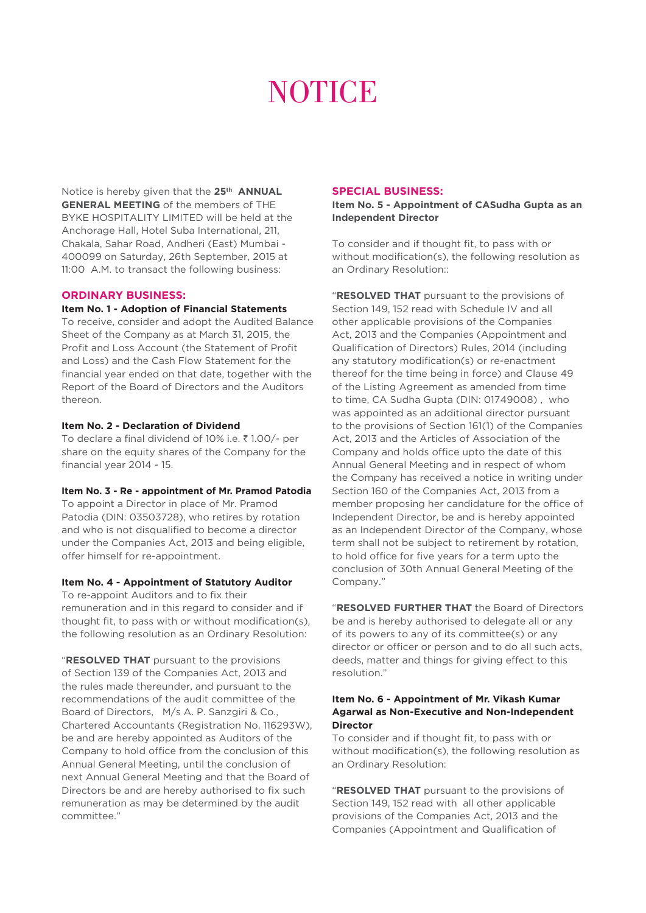# **NOTICE**

Notice is hereby given that the **25th ANNUAL GENERAL MEETING** of the members of THE BYKE HOSPITALITY LIMITED will be held at the Anchorage Hall, Hotel Suba International, 211, Chakala, Sahar Road, Andheri (East) Mumbai - 400099 on Saturday, 26th September, 2015 at 11:00 A.M. to transact the following business:

# **ORDINARY BUSINESS:**

## **Item No. 1 - Adoption of Financial Statements**

To receive, consider and adopt the Audited Balance Sheet of the Company as at March 31, 2015, the Profit and Loss Account (the Statement of Profit and Loss) and the Cash Flow Statement for the financial year ended on that date, together with the Report of the Board of Directors and the Auditors thereon.

#### **Item No. 2 - Declaration of Dividend**

To declare a final dividend of 10% i.e.  $\bar{\tau}$  1.00/- per share on the equity shares of the Company for the financial year 2014 - 15.

**Item No. 3 - Re - appointment of Mr. Pramod Patodia**

To appoint a Director in place of Mr. Pramod Patodia (DIN: 03503728), who retires by rotation and who is not disqualified to become a director under the Companies Act, 2013 and being eligible, offer himself for re-appointment.

#### **Item No. 4 - Appointment of Statutory Auditor**

To re-appoint Auditors and to fix their remuneration and in this regard to consider and if thought fit, to pass with or without modification(s), the following resolution as an Ordinary Resolution:

"**RESOLVED THAT** pursuant to the provisions of Section 139 of the Companies Act, 2013 and the rules made thereunder, and pursuant to the recommendations of the audit committee of the Board of Directors, M/s A. P. Sanzgiri & Co., Chartered Accountants (Registration No. 116293W), be and are hereby appointed as Auditors of the Company to hold office from the conclusion of this Annual General Meeting, until the conclusion of next Annual General Meeting and that the Board of Directors be and are hereby authorised to fix such remuneration as may be determined by the audit committee."

#### **SPECIAL BUSINESS:**

**Item No. 5 - Appointment of CASudha Gupta as an Independent Director**

To consider and if thought fit, to pass with or without modification(s), the following resolution as an Ordinary Resolution::

"**RESOLVED THAT** pursuant to the provisions of Section 149, 152 read with Schedule IV and all other applicable provisions of the Companies Act, 2013 and the Companies (Appointment and Qualification of Directors) Rules, 2014 (including any statutory modification(s) or re-enactment thereof for the time being in force) and Clause 49 of the Listing Agreement as amended from time to time, CA Sudha Gupta (DIN: 01749008) , who was appointed as an additional director pursuant to the provisions of Section 161(1) of the Companies Act, 2013 and the Articles of Association of the Company and holds office upto the date of this Annual General Meeting and in respect of whom the Company has received a notice in writing under Section 160 of the Companies Act, 2013 from a member proposing her candidature for the office of Independent Director, be and is hereby appointed as an Independent Director of the Company, whose term shall not be subject to retirement by rotation, to hold office for five years for a term upto the conclusion of 30th Annual General Meeting of the Company."

"**RESOLVED FURTHER THAT** the Board of Directors be and is hereby authorised to delegate all or any of its powers to any of its committee(s) or any director or officer or person and to do all such acts, deeds, matter and things for giving effect to this resolution."

#### **Item No. 6 - Appointment of Mr. Vikash Kumar Agarwal as Non-Executive and Non-Independent Director**

To consider and if thought fit, to pass with or without modification(s), the following resolution as an Ordinary Resolution:

"**RESOLVED THAT** pursuant to the provisions of Section 149, 152 read with all other applicable provisions of the Companies Act, 2013 and the Companies (Appointment and Qualification of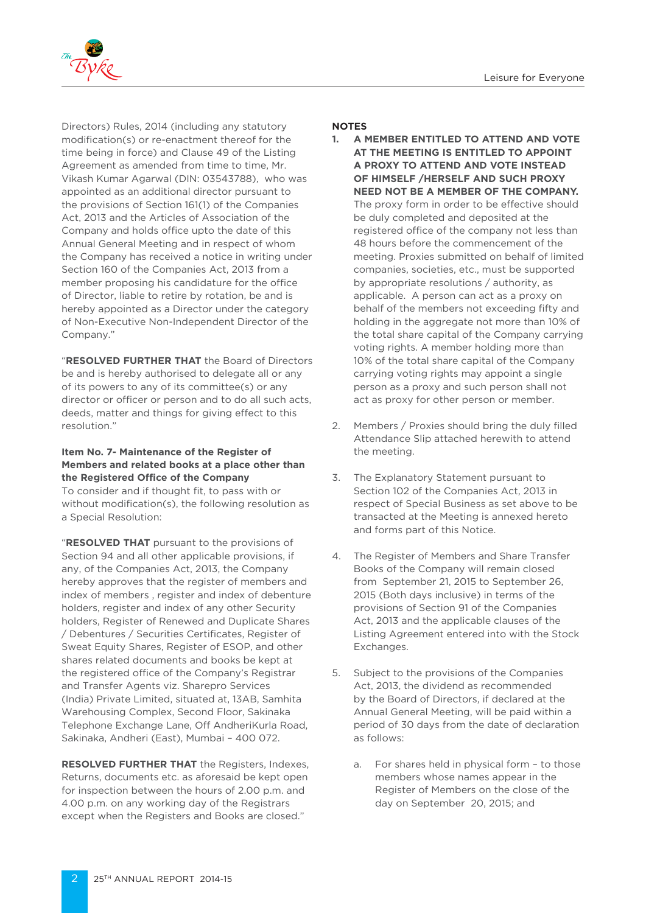

Directors) Rules, 2014 (including any statutory modification(s) or re-enactment thereof for the time being in force) and Clause 49 of the Listing Agreement as amended from time to time, Mr. Vikash Kumar Agarwal (DIN: 03543788), who was appointed as an additional director pursuant to the provisions of Section 161(1) of the Companies Act, 2013 and the Articles of Association of the Company and holds office upto the date of this Annual General Meeting and in respect of whom the Company has received a notice in writing under Section 160 of the Companies Act, 2013 from a member proposing his candidature for the office of Director, liable to retire by rotation, be and is hereby appointed as a Director under the category of Non-Executive Non-Independent Director of the Company."

"**RESOLVED FURTHER THAT** the Board of Directors be and is hereby authorised to delegate all or any of its powers to any of its committee(s) or any director or officer or person and to do all such acts, deeds, matter and things for giving effect to this resolution."

#### **Item No. 7- Maintenance of the Register of Members and related books at a place other than the Registered Office of the Company**

To consider and if thought fit, to pass with or without modification(s), the following resolution as a Special Resolution:

"**RESOLVED THAT** pursuant to the provisions of Section 94 and all other applicable provisions, if any, of the Companies Act, 2013, the Company hereby approves that the register of members and index of members , register and index of debenture holders, register and index of any other Security holders, Register of Renewed and Duplicate Shares / Debentures / Securities Certificates, Register of Sweat Equity Shares, Register of ESOP, and other shares related documents and books be kept at the registered office of the Company's Registrar and Transfer Agents viz. Sharepro Services (India) Private Limited, situated at, 13AB, Samhita Warehousing Complex, Second Floor, Sakinaka Telephone Exchange Lane, Off AndheriKurla Road, Sakinaka, Andheri (East), Mumbai – 400 072.

**RESOLVED FURTHER THAT** the Registers, Indexes, Returns, documents etc. as aforesaid be kept open for inspection between the hours of 2.00 p.m. and 4.00 p.m. on any working day of the Registrars except when the Registers and Books are closed."

#### **NOTES**

- **1. A MEMBER ENTITLED TO ATTEND AND VOTE AT THE MEETING IS ENTITLED TO APPOINT A PROXY TO ATTEND AND VOTE INSTEAD OF HIMSELF /HERSELF AND SUCH PROXY NEED NOT BE A MEMBER OF THE COMPANY.** The proxy form in order to be effective should be duly completed and deposited at the registered office of the company not less than 48 hours before the commencement of the meeting. Proxies submitted on behalf of limited companies, societies, etc., must be supported by appropriate resolutions / authority, as applicable. A person can act as a proxy on behalf of the members not exceeding fifty and holding in the aggregate not more than 10% of the total share capital of the Company carrying voting rights. A member holding more than 10% of the total share capital of the Company carrying voting rights may appoint a single person as a proxy and such person shall not act as proxy for other person or member.
- 2. Members / Proxies should bring the duly filled Attendance Slip attached herewith to attend the meeting.
- 3. The Explanatory Statement pursuant to Section 102 of the Companies Act, 2013 in respect of Special Business as set above to be transacted at the Meeting is annexed hereto and forms part of this Notice.
- 4. The Register of Members and Share Transfer Books of the Company will remain closed from September 21, 2015 to September 26, 2015 (Both days inclusive) in terms of the provisions of Section 91 of the Companies Act, 2013 and the applicable clauses of the Listing Agreement entered into with the Stock Exchanges.
- 5. Subject to the provisions of the Companies Act, 2013, the dividend as recommended by the Board of Directors, if declared at the Annual General Meeting, will be paid within a period of 30 days from the date of declaration as follows:
	- a. For shares held in physical form to those members whose names appear in the Register of Members on the close of the day on September 20, 2015; and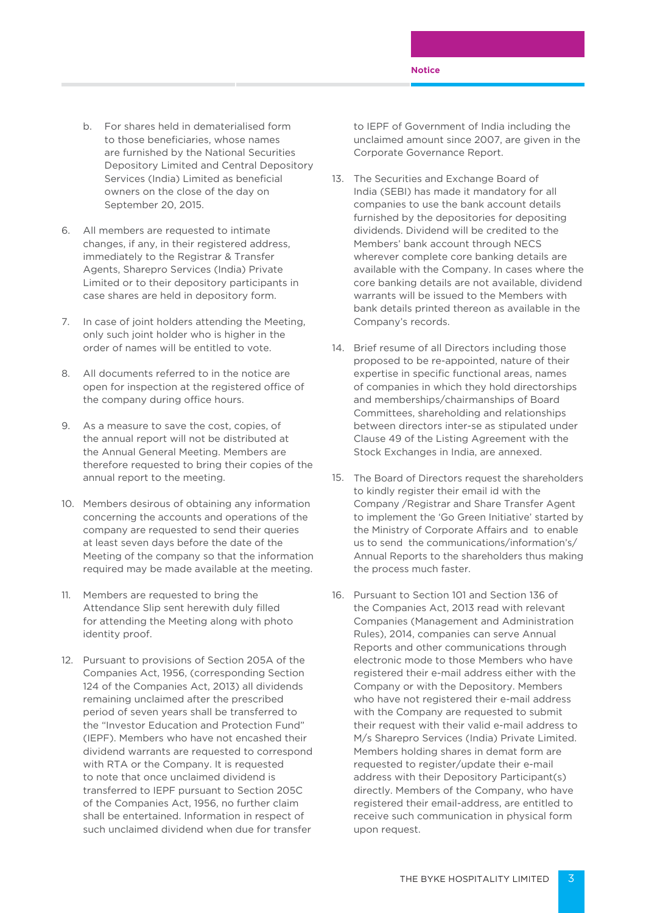- b. For shares held in dematerialised form to those beneficiaries, whose names are furnished by the National Securities Depository Limited and Central Depository Services (India) Limited as beneficial owners on the close of the day on September 20, 2015.
- 6. All members are requested to intimate changes, if any, in their registered address, immediately to the Registrar & Transfer Agents, Sharepro Services (India) Private Limited or to their depository participants in case shares are held in depository form.
- 7. In case of joint holders attending the Meeting, only such joint holder who is higher in the order of names will be entitled to vote.
- 8. All documents referred to in the notice are open for inspection at the registered office of the company during office hours.
- 9. As a measure to save the cost, copies, of the annual report will not be distributed at the Annual General Meeting. Members are therefore requested to bring their copies of the annual report to the meeting.
- 10. Members desirous of obtaining any information concerning the accounts and operations of the company are requested to send their queries at least seven days before the date of the Meeting of the company so that the information required may be made available at the meeting.
- 11. Members are requested to bring the Attendance Slip sent herewith duly filled for attending the Meeting along with photo identity proof.
- 12. Pursuant to provisions of Section 205A of the Companies Act, 1956, (corresponding Section 124 of the Companies Act, 2013) all dividends remaining unclaimed after the prescribed period of seven years shall be transferred to the "Investor Education and Protection Fund" (IEPF). Members who have not encashed their dividend warrants are requested to correspond with RTA or the Company. It is requested to note that once unclaimed dividend is transferred to IEPF pursuant to Section 205C of the Companies Act, 1956, no further claim shall be entertained. Information in respect of such unclaimed dividend when due for transfer

to IEPF of Government of India including the unclaimed amount since 2007, are given in the Corporate Governance Report.

- 13. The Securities and Exchange Board of India (SEBI) has made it mandatory for all companies to use the bank account details furnished by the depositories for depositing dividends. Dividend will be credited to the Members' bank account through NECS wherever complete core banking details are available with the Company. In cases where the core banking details are not available, dividend warrants will be issued to the Members with bank details printed thereon as available in the Company's records.
- 14. Brief resume of all Directors including those proposed to be re-appointed, nature of their expertise in specific functional areas, names of companies in which they hold directorships and memberships/chairmanships of Board Committees, shareholding and relationships between directors inter-se as stipulated under Clause 49 of the Listing Agreement with the Stock Exchanges in India, are annexed.
- 15. The Board of Directors request the shareholders to kindly register their email id with the Company /Registrar and Share Transfer Agent to implement the 'Go Green Initiative' started by the Ministry of Corporate Affairs and to enable us to send the communications/information's/ Annual Reports to the shareholders thus making the process much faster.
- 16. Pursuant to Section 101 and Section 136 of the Companies Act, 2013 read with relevant Companies (Management and Administration Rules), 2014, companies can serve Annual Reports and other communications through electronic mode to those Members who have registered their e-mail address either with the Company or with the Depository. Members who have not registered their e-mail address with the Company are requested to submit their request with their valid e-mail address to M/s Sharepro Services (India) Private Limited. Members holding shares in demat form are requested to register/update their e-mail address with their Depository Participant(s) directly. Members of the Company, who have registered their email-address, are entitled to receive such communication in physical form upon request.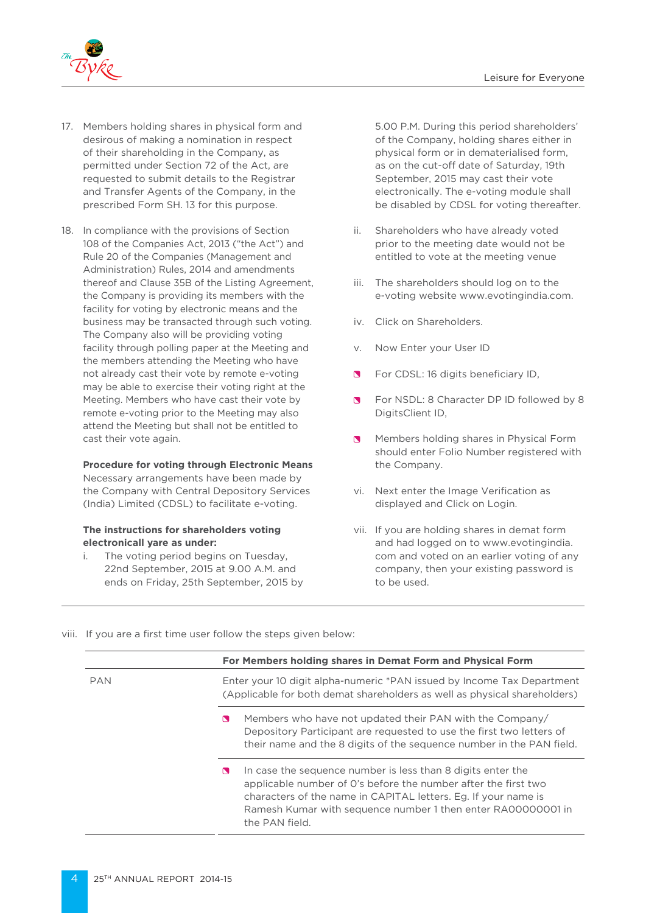

- 17. Members holding shares in physical form and desirous of making a nomination in respect of their shareholding in the Company, as permitted under Section 72 of the Act, are requested to submit details to the Registrar and Transfer Agents of the Company, in the prescribed Form SH. 13 for this purpose.
- 18. In compliance with the provisions of Section 108 of the Companies Act, 2013 ("the Act") and Rule 20 of the Companies (Management and Administration) Rules, 2014 and amendments thereof and Clause 35B of the Listing Agreement, the Company is providing its members with the facility for voting by electronic means and the business may be transacted through such voting. The Company also will be providing voting facility through polling paper at the Meeting and the members attending the Meeting who have not already cast their vote by remote e-voting may be able to exercise their voting right at the Meeting. Members who have cast their vote by remote e-voting prior to the Meeting may also attend the Meeting but shall not be entitled to cast their vote again.

# **Procedure for voting through Electronic Means**

 Necessary arrangements have been made by the Company with Central Depository Services (India) Limited (CDSL) to facilitate e-voting.

# **The instructions for shareholders voting electronicall yare as under:**

i. The voting period begins on Tuesday, 22nd September, 2015 at 9.00 A.M. and ends on Friday, 25th September, 2015 by 5.00 P.M. During this period shareholders' of the Company, holding shares either in physical form or in dematerialised form, as on the cut-off date of Saturday, 19th September, 2015 may cast their vote electronically. The e-voting module shall be disabled by CDSL for voting thereafter.

- ii. Shareholders who have already voted prior to the meeting date would not be entitled to vote at the meeting venue
- iii. The shareholders should log on to the e-voting website www.evotingindia.com.
- iv. Click on Shareholders.
- v. Now Enter your User ID
- $\blacksquare$ For CDSL: 16 digits beneficiary ID,
- **S** For NSDL: 8 Character DP ID followed by 8 DigitsClient ID,
- **Members holding shares in Physical Form** should enter Folio Number registered with the Company.
- vi. Next enter the Image Verification as displayed and Click on Login.
- vii. If you are holding shares in demat form and had logged on to www.evotingindia. com and voted on an earlier voting of any company, then your existing password is to be used.
- viii. If you are a first time user follow the steps given below:

|            | For Members holding shares in Demat Form and Physical Form                                                                                                                                                                                                                             |  |  |
|------------|----------------------------------------------------------------------------------------------------------------------------------------------------------------------------------------------------------------------------------------------------------------------------------------|--|--|
| <b>PAN</b> | Enter your 10 digit alpha-numeric *PAN issued by Income Tax Department<br>(Applicable for both demat shareholders as well as physical shareholders)                                                                                                                                    |  |  |
|            | Members who have not updated their PAN with the Company/<br>N<br>Depository Participant are requested to use the first two letters of<br>their name and the 8 digits of the sequence number in the PAN field.                                                                          |  |  |
|            | In case the sequence number is less than 8 digits enter the<br>N<br>applicable number of O's before the number after the first two<br>characters of the name in CAPITAL letters. Eq. If your name is<br>Ramesh Kumar with sequence number 1 then enter RA00000001 in<br>the PAN field. |  |  |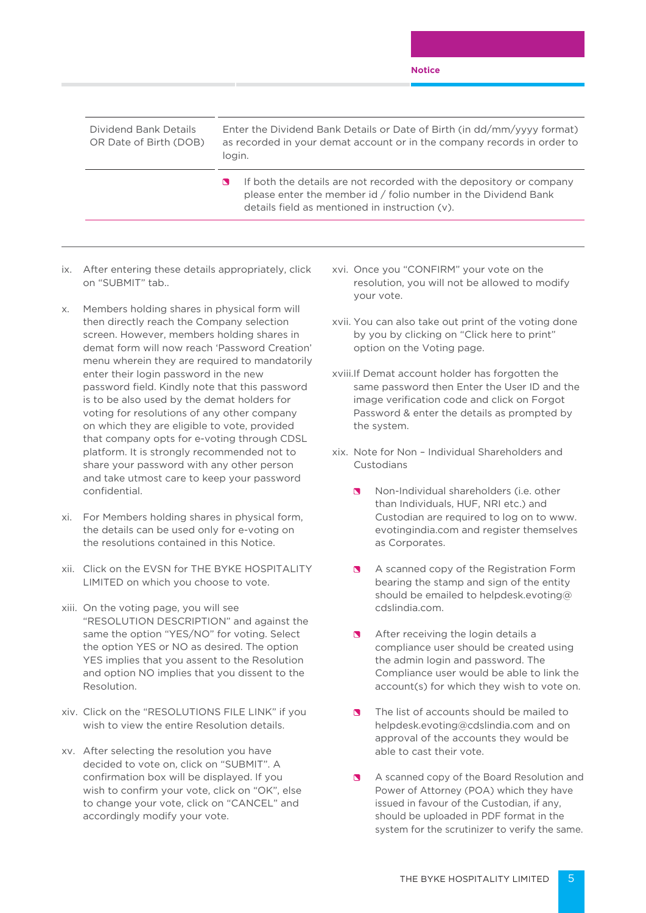#### **Notice**

| Dividend Bank Details<br>OR Date of Birth (DOB) | Enter the Dividend Bank Details or Date of Birth (in dd/mm/yyyy format)<br>as recorded in your demat account or in the company records in order to<br>login.                            |
|-------------------------------------------------|-----------------------------------------------------------------------------------------------------------------------------------------------------------------------------------------|
|                                                 | If both the details are not recorded with the depository or company<br>please enter the member id / folio number in the Dividend Bank<br>details field as mentioned in instruction (v). |

- ix. After entering these details appropriately, click on "SUBMIT" tab..
- x. Members holding shares in physical form will then directly reach the Company selection screen. However, members holding shares in demat form will now reach 'Password Creation' menu wherein they are required to mandatorily enter their login password in the new password field. Kindly note that this password is to be also used by the demat holders for voting for resolutions of any other company on which they are eligible to vote, provided that company opts for e-voting through CDSL platform. It is strongly recommended not to share your password with any other person and take utmost care to keep your password confidential.
- xi. For Members holding shares in physical form, the details can be used only for e-voting on the resolutions contained in this Notice.
- xii. Click on the EVSN for THE BYKE HOSPITALITY LIMITED on which you choose to vote.
- xiii. On the voting page, you will see "RESOLUTION DESCRIPTION" and against the same the option "YES/NO" for voting. Select the option YES or NO as desired. The option YES implies that you assent to the Resolution and option NO implies that you dissent to the Resolution.
- xiv. Click on the "RESOLUTIONS FILE LINK" if you wish to view the entire Resolution details.
- xv. After selecting the resolution you have decided to vote on, click on "SUBMIT". A confirmation box will be displayed. If you wish to confirm your vote, click on "OK", else to change your vote, click on "CANCEL" and accordingly modify your vote.
- xvi. Once you "CONFIRM" your vote on the resolution, you will not be allowed to modify your vote.
- xvii. You can also take out print of the voting done by you by clicking on "Click here to print" option on the Voting page.
- xviii.If Demat account holder has forgotten the same password then Enter the User ID and the image verification code and click on Forgot Password & enter the details as prompted by the system.
- xix. Note for Non Individual Shareholders and Custodians
	- Non-Individual shareholders (i.e. other than Individuals, HUF, NRI etc.) and Custodian are required to log on to www. evotingindia.com and register themselves as Corporates.
	- **B** A scanned copy of the Registration Form bearing the stamp and sign of the entity should be emailed to helpdesk.evoting@ cdslindia.com.
	- After receiving the login details a compliance user should be created using the admin login and password. The Compliance user would be able to link the account(s) for which they wish to vote on.
	- The list of accounts should be mailed to helpdesk.evoting@cdslindia.com and on approval of the accounts they would be able to cast their vote.
	- A scanned copy of the Board Resolution and Power of Attorney (POA) which they have issued in favour of the Custodian, if any, should be uploaded in PDF format in the system for the scrutinizer to verify the same.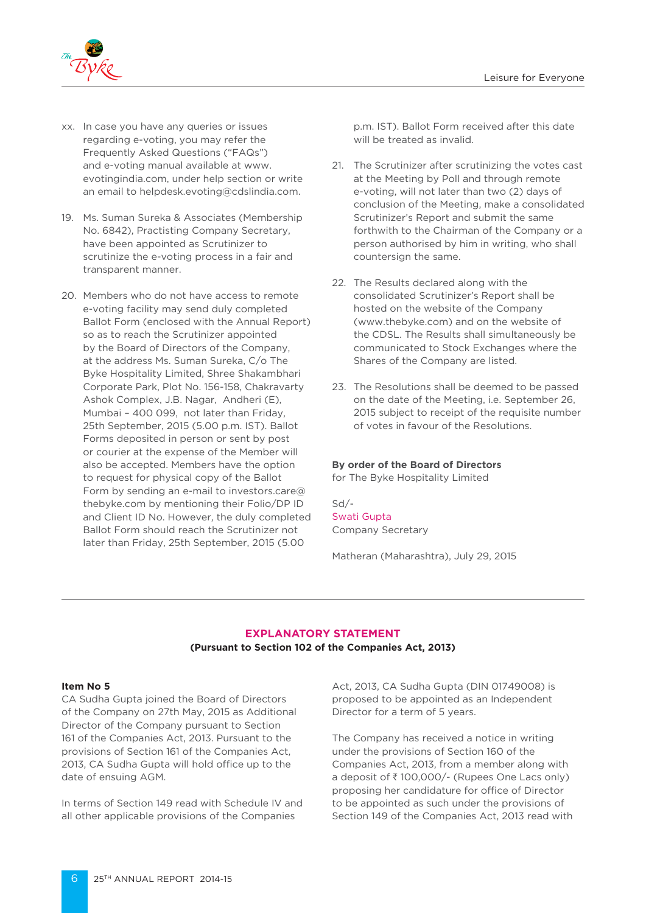

- xx. In case you have any queries or issues regarding e-voting, you may refer the Frequently Asked Questions ("FAQs") and e-voting manual available at www. evotingindia.com, under help section or write an email to helpdesk.evoting@cdslindia.com.
- 19. Ms. Suman Sureka & Associates (Membership No. 6842), Practisting Company Secretary, have been appointed as Scrutinizer to scrutinize the e-voting process in a fair and transparent manner.
- 20. Members who do not have access to remote e-voting facility may send duly completed Ballot Form (enclosed with the Annual Report) so as to reach the Scrutinizer appointed by the Board of Directors of the Company, at the address Ms. Suman Sureka, C/o The Byke Hospitality Limited, Shree Shakambhari Corporate Park, Plot No. 156-158, Chakravarty Ashok Complex, J.B. Nagar, Andheri (E), Mumbai – 400 099, not later than Friday, 25th September, 2015 (5.00 p.m. IST). Ballot Forms deposited in person or sent by post or courier at the expense of the Member will also be accepted. Members have the option to request for physical copy of the Ballot Form by sending an e-mail to investors.care@ thebyke.com by mentioning their Folio/DP ID and Client ID No. However, the duly completed Ballot Form should reach the Scrutinizer not later than Friday, 25th September, 2015 (5.00

p.m. IST). Ballot Form received after this date will be treated as invalid.

- 21. The Scrutinizer after scrutinizing the votes cast at the Meeting by Poll and through remote e-voting, will not later than two (2) days of conclusion of the Meeting, make a consolidated Scrutinizer's Report and submit the same forthwith to the Chairman of the Company or a person authorised by him in writing, who shall countersign the same.
- 22. The Results declared along with the consolidated Scrutinizer's Report shall be hosted on the website of the Company (www.thebyke.com) and on the website of the CDSL. The Results shall simultaneously be communicated to Stock Exchanges where the Shares of the Company are listed.
- 23. The Resolutions shall be deemed to be passed on the date of the Meeting, i.e. September 26, 2015 subject to receipt of the requisite number of votes in favour of the Resolutions.

#### **By order of the Board of Directors**

for The Byke Hospitality Limited

# Sd/- Swati Gupta

Company Secretary

Matheran (Maharashtra), July 29, 2015

# **EXPLANATORY STATEMENT**

# **(Pursuant to Section 102 of the Companies Act, 2013)**

## **Item No 5**

CA Sudha Gupta joined the Board of Directors of the Company on 27th May, 2015 as Additional Director of the Company pursuant to Section 161 of the Companies Act, 2013. Pursuant to the provisions of Section 161 of the Companies Act, 2013, CA Sudha Gupta will hold office up to the date of ensuing AGM.

In terms of Section 149 read with Schedule IV and all other applicable provisions of the Companies

Act, 2013, CA Sudha Gupta (DIN 01749008) is proposed to be appointed as an Independent Director for a term of 5 years.

The Company has received a notice in writing under the provisions of Section 160 of the Companies Act, 2013, from a member along with a deposit of  $\bar{z}$  100,000/- (Rupees One Lacs only) proposing her candidature for office of Director to be appointed as such under the provisions of Section 149 of the Companies Act, 2013 read with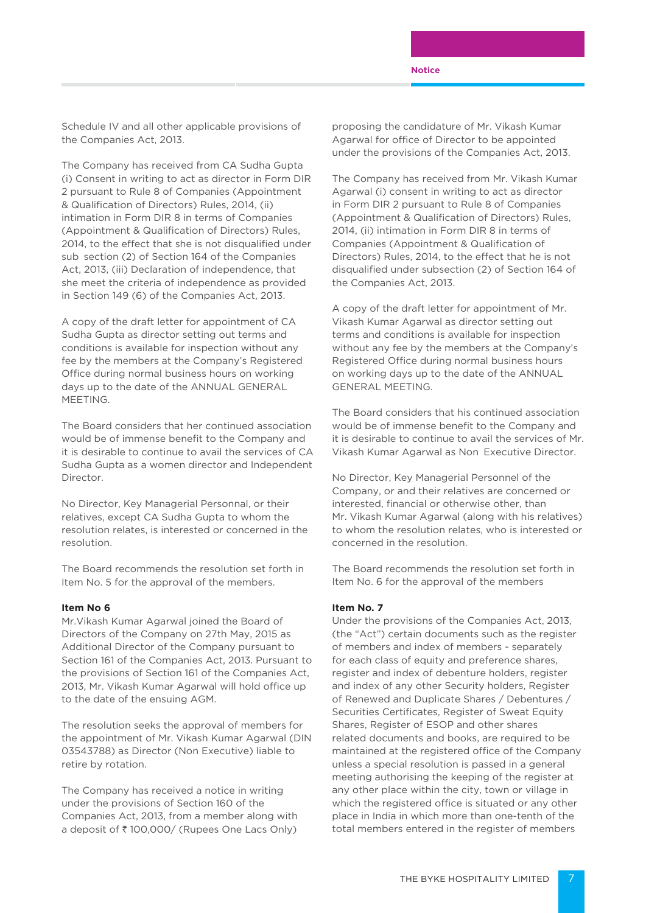Schedule IV and all other applicable provisions of the Companies Act, 2013.

The Company has received from CA Sudha Gupta (i) Consent in writing to act as director in Form DIR 2 pursuant to Rule 8 of Companies (Appointment & Qualification of Directors) Rules, 2014, (ii) intimation in Form DIR 8 in terms of Companies (Appointment & Qualification of Directors) Rules, 2014, to the effect that she is not disqualified under sub section (2) of Section 164 of the Companies Act, 2013, (iii) Declaration of independence, that she meet the criteria of independence as provided in Section 149 (6) of the Companies Act, 2013.

A copy of the draft letter for appointment of CA Sudha Gupta as director setting out terms and conditions is available for inspection without any fee by the members at the Company's Registered Office during normal business hours on working days up to the date of the ANNUAL GENERAL **MEETING** 

The Board considers that her continued association would be of immense benefit to the Company and it is desirable to continue to avail the services of CA Sudha Gupta as a women director and Independent **Director** 

No Director, Key Managerial Personnal, or their relatives, except CA Sudha Gupta to whom the resolution relates, is interested or concerned in the resolution.

The Board recommends the resolution set forth in Item No. 5 for the approval of the members.

#### **Item No 6**

Mr.Vikash Kumar Agarwal joined the Board of Directors of the Company on 27th May, 2015 as Additional Director of the Company pursuant to Section 161 of the Companies Act, 2013. Pursuant to the provisions of Section 161 of the Companies Act, 2013, Mr. Vikash Kumar Agarwal will hold office up to the date of the ensuing AGM.

The resolution seeks the approval of members for the appointment of Mr. Vikash Kumar Agarwal (DIN 03543788) as Director (Non Executive) liable to retire by rotation.

The Company has received a notice in writing under the provisions of Section 160 of the Companies Act, 2013, from a member along with a deposit of ₹100,000/ (Rupees One Lacs Only)

proposing the candidature of Mr. Vikash Kumar Agarwal for office of Director to be appointed under the provisions of the Companies Act, 2013.

The Company has received from Mr. Vikash Kumar Agarwal (i) consent in writing to act as director in Form DIR 2 pursuant to Rule 8 of Companies (Appointment & Qualification of Directors) Rules, 2014, (ii) intimation in Form DIR 8 in terms of Companies (Appointment & Qualification of Directors) Rules, 2014, to the effect that he is not disqualified under subsection (2) of Section 164 of the Companies Act, 2013.

A copy of the draft letter for appointment of Mr. Vikash Kumar Agarwal as director setting out terms and conditions is available for inspection without any fee by the members at the Company's Registered Office during normal business hours on working days up to the date of the ANNUAL GENERAL MEETING.

The Board considers that his continued association would be of immense benefit to the Company and it is desirable to continue to avail the services of Mr. Vikash Kumar Agarwal as Non Executive Director.

No Director, Key Managerial Personnel of the Company, or and their relatives are concerned or interested, financial or otherwise other, than Mr. Vikash Kumar Agarwal (along with his relatives) to whom the resolution relates, who is interested or concerned in the resolution.

The Board recommends the resolution set forth in Item No. 6 for the approval of the members

#### **Item No. 7**

Under the provisions of the Companies Act, 2013, (the "Act") certain documents such as the register of members and index of members - separately for each class of equity and preference shares, register and index of debenture holders, register and index of any other Security holders, Register of Renewed and Duplicate Shares / Debentures / Securities Certificates, Register of Sweat Equity Shares, Register of ESOP and other shares related documents and books, are required to be maintained at the registered office of the Company unless a special resolution is passed in a general meeting authorising the keeping of the register at any other place within the city, town or village in which the registered office is situated or any other place in India in which more than one-tenth of the total members entered in the register of members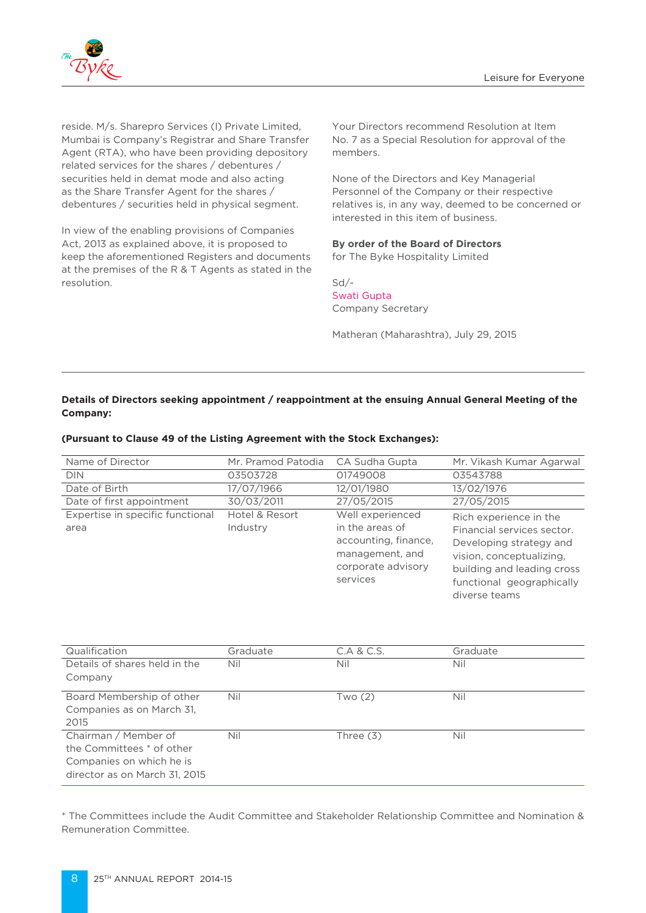

reside. M/s. Sharepro Services (I) Private Limited, Mumbai is Company's Registrar and Share Transfer Agent (RTA), who have been providing depository related services for the shares / debentures / securities held in demat mode and also acting as the Share Transfer Agent for the shares / debentures / securities held in physical segment.

In view of the enabling provisions of Companies Act, 2013 as explained above, it is proposed to keep the aforementioned Registers and documents at the premises of the R & T Agents as stated in the resolution.

Your Directors recommend Resolution at Item No. 7 as a Special Resolution for approval of the members.

None of the Directors and Key Managerial Personnel of the Company or their respective relatives is, in any way, deemed to be concerned or interested in this item of business.

# **By order of the Board of Directors**

for The Byke Hospitality Limited

Sd/- Swati Gupta Company Secretary

Matheran (Maharashtra), July 29, 2015

# **Details of Directors seeking appointment / reappointment at the ensuing Annual General Meeting of the Company:**

| Name of Director                         | Mr. Pramod Patodia         | CA Sudha Gupta                                                                                                   | Mr. Vikash Kumar Agarwal                                                                                                                                                                |
|------------------------------------------|----------------------------|------------------------------------------------------------------------------------------------------------------|-----------------------------------------------------------------------------------------------------------------------------------------------------------------------------------------|
| <b>DIN</b>                               | 03503728                   | 01749008                                                                                                         | 03543788                                                                                                                                                                                |
| Date of Birth                            | 17/07/1966                 | 12/01/1980                                                                                                       | 13/02/1976                                                                                                                                                                              |
| Date of first appointment                | 30/03/2011                 | 27/05/2015                                                                                                       | 27/05/2015                                                                                                                                                                              |
| Expertise in specific functional<br>area | Hotel & Resort<br>Industry | Well experienced<br>in the areas of<br>accounting, finance,<br>management, and<br>corporate advisory<br>services | Rich experience in the<br>Financial services sector.<br>Developing strategy and<br>vision, conceptualizing,<br>building and leading cross<br>functional geographically<br>diverse teams |
|                                          |                            |                                                                                                                  |                                                                                                                                                                                         |

#### **(Pursuant to Clause 49 of the Listing Agreement with the Stock Exchanges):**

| Qualification                 | Graduate | C.A & C.S. | Graduate |
|-------------------------------|----------|------------|----------|
| Details of shares held in the | Nil      | Nil        | Nil      |
| Company                       |          |            |          |
| Board Membership of other     | Nil      | Two (2)    | Nil      |
| Companies as on March 31.     |          |            |          |
| 2015                          |          |            |          |
| Chairman / Member of          | Nil      | Three (3)  | Nil      |
| the Committees * of other     |          |            |          |
| Companies on which he is      |          |            |          |
| director as on March 31, 2015 |          |            |          |

\* The Committees include the Audit Committee and Stakeholder Relationship Committee and Nomination & Remuneration Committee.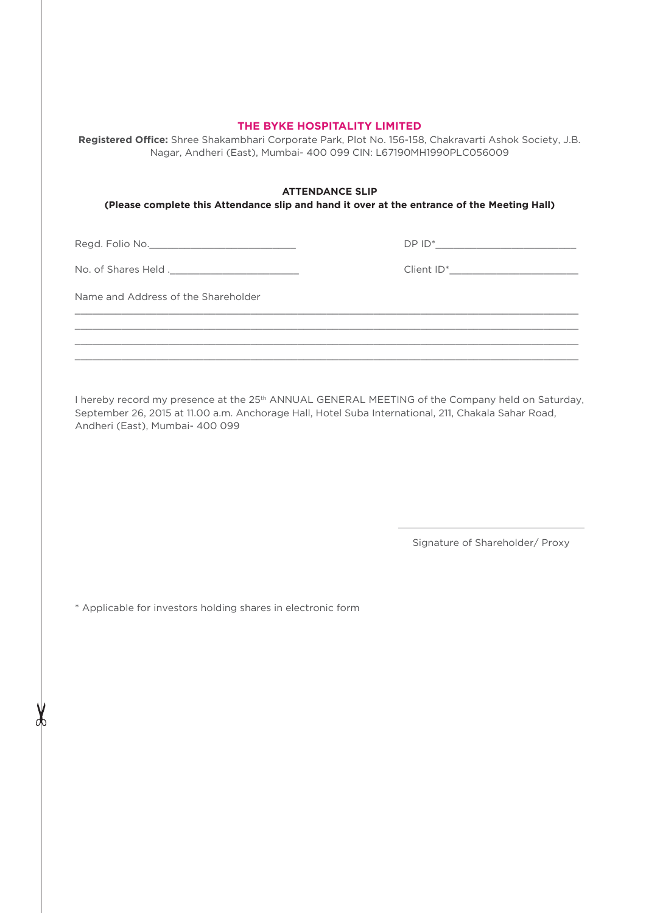# **THE BYKE HOSPITALITY LIMITED**

**Registered Office:** Shree Shakambhari Corporate Park, Plot No. 156-158, Chakravarti Ashok Society, J.B. Nagar, Andheri (East), Mumbai- 400 099 CIN: L67190MH1990PLC056009

#### **ATTENDANCE SLIP**

 $\_$  , and the state of the state of the state of the state of the state of the state of the state of the state of the state of the state of the state of the state of the state of the state of the state of the state of the  $\_$  , and the set of the set of the set of the set of the set of the set of the set of the set of the set of the set of the set of the set of the set of the set of the set of the set of the set of the set of the set of th  $\_$  , and the state of the state of the state of the state of the state of the state of the state of the state of the state of the state of the state of the state of the state of the state of the state of the state of the  $\_$  , and the state of the state of the state of the state of the state of the state of the state of the state of the state of the state of the state of the state of the state of the state of the state of the state of the

**(Please complete this Attendance slip and hand it over at the entrance of the Meeting Hall)**

Regd. Folio No.\_\_\_\_\_\_\_\_\_\_\_\_\_\_\_\_\_\_\_\_\_\_\_\_\_

No. of Shares Held .\_\_\_\_\_\_\_\_\_\_\_\_\_\_\_\_\_\_\_\_\_\_

Client ID\*\_\_\_\_\_\_\_\_\_\_\_\_\_\_\_\_\_\_\_\_\_\_

DP ID\*\_\_\_\_\_\_\_\_\_\_\_\_\_\_\_\_\_\_\_\_\_\_\_\_

Name and Address of the Shareholder

I hereby record my presence at the 25<sup>th</sup> ANNUAL GENERAL MEETING of the Company held on Saturday, September 26, 2015 at 11.00 a.m. Anchorage Hall, Hotel Suba International, 211, Chakala Sahar Road, Andheri (East), Mumbai- 400 099

Signature of Shareholder/ Proxy

\* Applicable for investors holding shares in electronic form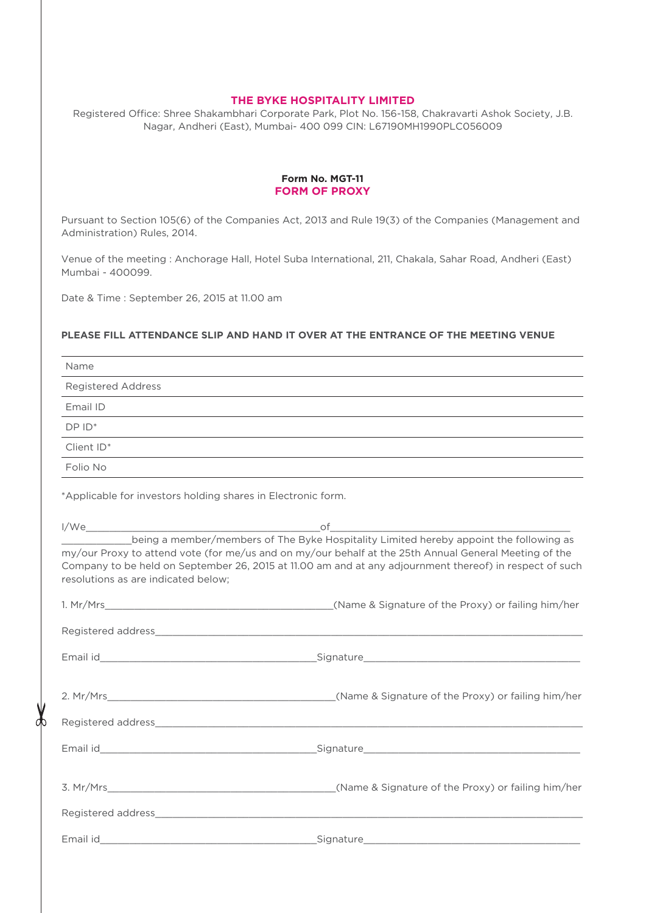# **THE BYKE HOSPITALITY LIMITED**

Registered Office: Shree Shakambhari Corporate Park, Plot No. 156-158, Chakravarti Ashok Society, J.B. Nagar, Andheri (East), Mumbai- 400 099 CIN: L67190MH1990PLC056009

#### **Form No. MGT-11 FORM OF PROXY**

Pursuant to Section 105(6) of the Companies Act, 2013 and Rule 19(3) of the Companies (Management and Administration) Rules, 2014.

Venue of the meeting : Anchorage Hall, Hotel Suba International, 211, Chakala, Sahar Road, Andheri (East) Mumbai - 400099.

Date & Time : September 26, 2015 at 11.00 am

ďÞ

#### **PLEASE FILL ATTENDANCE SLIP AND HAND IT OVER AT THE ENTRANCE OF THE MEETING VENUE**

| Name                                                         |                                                                                                                                                                                                                  |
|--------------------------------------------------------------|------------------------------------------------------------------------------------------------------------------------------------------------------------------------------------------------------------------|
| <b>Registered Address</b>                                    |                                                                                                                                                                                                                  |
| Email ID                                                     | and the control of the control of the control of the control of the control of the control of the control of the                                                                                                 |
| $DPID^*$                                                     |                                                                                                                                                                                                                  |
| Client ID*                                                   |                                                                                                                                                                                                                  |
| Folio No                                                     |                                                                                                                                                                                                                  |
| *Applicable for investors holding shares in Electronic form. |                                                                                                                                                                                                                  |
|                                                              | being a member/members of The Byke Hospitality Limited hereby appoint the following as                                                                                                                           |
| resolutions as are indicated below;                          | my/our Proxy to attend vote (for me/us and on my/our behalf at the 25th Annual General Meeting of the<br>Company to be held on September 26, 2015 at 11.00 am and at any adjournment thereof) in respect of such |
|                                                              |                                                                                                                                                                                                                  |
|                                                              |                                                                                                                                                                                                                  |
|                                                              |                                                                                                                                                                                                                  |
|                                                              |                                                                                                                                                                                                                  |
|                                                              |                                                                                                                                                                                                                  |
|                                                              |                                                                                                                                                                                                                  |
|                                                              |                                                                                                                                                                                                                  |
|                                                              |                                                                                                                                                                                                                  |
|                                                              |                                                                                                                                                                                                                  |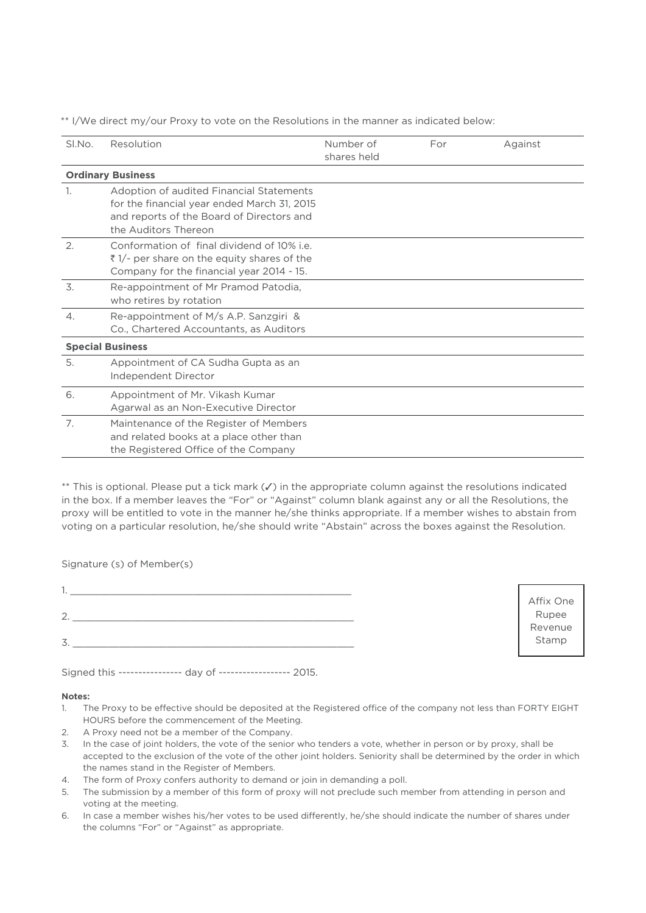\*\* I/We direct my/our Proxy to vote on the Resolutions in the manner as indicated below:

| Sl.No.          | Resolution                                                                                                                                                   | Number of<br>shares held | For | Against |  |  |  |
|-----------------|--------------------------------------------------------------------------------------------------------------------------------------------------------------|--------------------------|-----|---------|--|--|--|
|                 | <b>Ordinary Business</b>                                                                                                                                     |                          |     |         |  |  |  |
| 1.              | Adoption of audited Financial Statements<br>for the financial year ended March 31, 2015<br>and reports of the Board of Directors and<br>the Auditors Thereon |                          |     |         |  |  |  |
| 2.              | Conformation of final dividend of 10% i.e.<br>₹1/- per share on the equity shares of the<br>Company for the financial year 2014 - 15.                        |                          |     |         |  |  |  |
| 3.              | Re-appointment of Mr Pramod Patodia,<br>who retires by rotation                                                                                              |                          |     |         |  |  |  |
| $\mathcal{A}$ . | Re-appointment of M/s A.P. Sanzgiri &<br>Co., Chartered Accountants, as Auditors                                                                             |                          |     |         |  |  |  |
|                 | <b>Special Business</b>                                                                                                                                      |                          |     |         |  |  |  |
| 5.              | Appointment of CA Sudha Gupta as an<br>Independent Director                                                                                                  |                          |     |         |  |  |  |
| 6.              | Appointment of Mr. Vikash Kumar<br>Agarwal as an Non-Executive Director                                                                                      |                          |     |         |  |  |  |
| 7.              | Maintenance of the Register of Members<br>and related books at a place other than<br>the Registered Office of the Company                                    |                          |     |         |  |  |  |

 $**$  This is optional. Please put a tick mark  $(\checkmark)$  in the appropriate column against the resolutions indicated in the box. If a member leaves the "For" or "Against" column blank against any or all the Resolutions, the proxy will be entitled to vote in the manner he/she thinks appropriate. If a member wishes to abstain from voting on a particular resolution, he/she should write "Abstain" across the boxes against the Resolution.

Signature (s) of Member(s)

Affix One Rupee Revenue Stamp

Signed this ---------------- day of ------------------ 2015.

#### **Notes:**

- 1. The Proxy to be effective should be deposited at the Registered office of the company not less than FORTY EIGHT HOURS before the commencement of the Meeting.
- 2. A Proxy need not be a member of the Company.
- 3. In the case of joint holders, the vote of the senior who tenders a vote, whether in person or by proxy, shall be accepted to the exclusion of the vote of the other joint holders. Seniority shall be determined by the order in which the names stand in the Register of Members.
- 4. The form of Proxy confers authority to demand or join in demanding a poll.
- 5. The submission by a member of this form of proxy will not preclude such member from attending in person and voting at the meeting.
- 6. In case a member wishes his/her votes to be used differently, he/she should indicate the number of shares under the columns "For" or "Against" as appropriate.